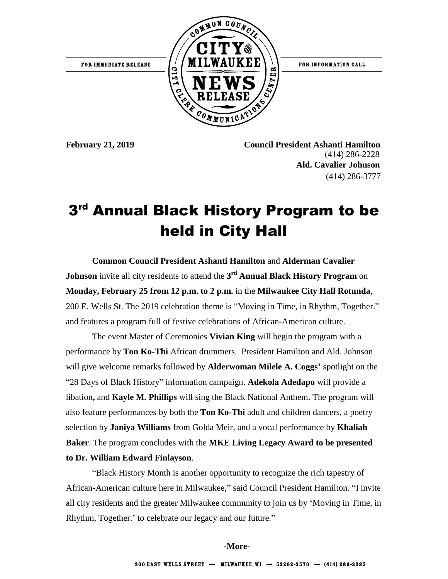

**February 21, 2019 Council President Ashanti Hamilton** (414) 286-2228  **Ald. Cavalier Johnson**  (414) 286-3777

## 3<sup>rd</sup> Annual Black History Program to be held in City Hall

**Common Council President Ashanti Hamilton** and **Alderman Cavalier Johnson** invite all city residents to attend the **3 rd Annual Black History Program** on **Monday, February 25 from 12 p.m. to 2 p.m.** in the **Milwaukee City Hall Rotunda**, 200 E. Wells St. The 2019 celebration theme is "Moving in Time, in Rhythm, Together." and features a program full of festive celebrations of African-American culture.

The event Master of Ceremonies **Vivian King** will begin the program with a performance by **Ton Ko-Thi** African drummers. President Hamilton and Ald. Johnson will give welcome remarks followed by **Alderwoman Milele A. Coggs'** spotlight on the "28 Days of Black History" information campaign. **Adekola Adedapo** will provide a libation**,** and **Kayle M. Phillips** will sing the Black National Anthem. The program will also feature performances by both the **Ton Ko-Thi** adult and children dancers, a poetry selection by **Janiya Williams** from Golda Meir, and a vocal performance by **Khaliah Baker**. The program concludes with the **MKE Living Legacy Award to be presented to Dr. William Edward Finlayson**.

"Black History Month is another opportunity to recognize the rich tapestry of African-American culture here in Milwaukee," said Council President Hamilton. "I invite all city residents and the greater Milwaukee community to join us by 'Moving in Time, in Rhythm, Together.' to celebrate our legacy and our future."

**-More-**